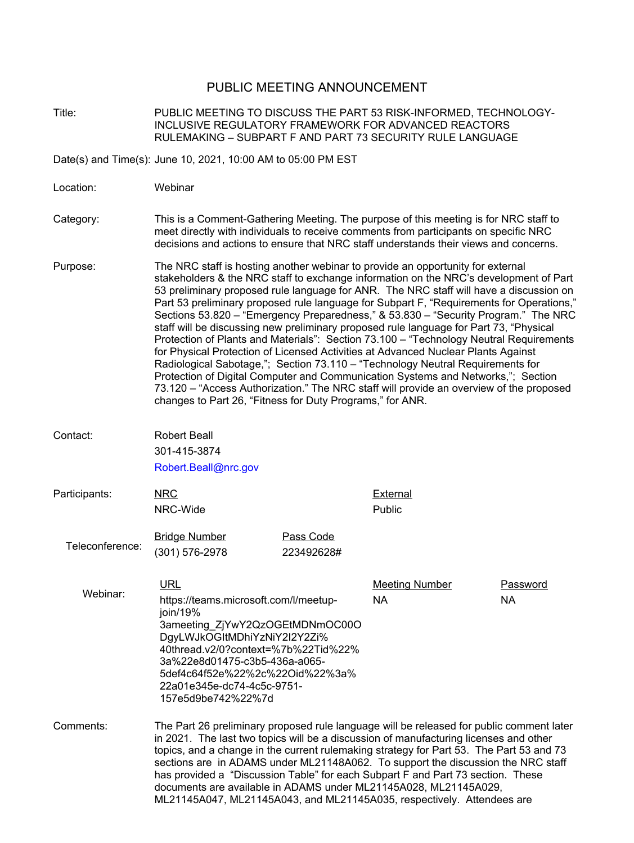## PUBLIC MEETING ANNOUNCEMENT

Title: PUBLIC MEETING TO DISCUSS THE PART 53 RISK-INFORMED, TECHNOLOGY-INCLUSIVE REGULATORY FRAMEWORK FOR ADVANCED REACTORS RULEMAKING – SUBPART F AND PART 73 SECURITY RULE LANGUAGE

Date(s) and Time(s): June 10, 2021, 10:00 AM to 05:00 PM EST

Location: Webinar

#### Category: This is a Comment-Gathering Meeting. The purpose of this meeting is for NRC staff to meet directly with individuals to receive comments from participants on specific NRC decisions and actions to ensure that NRC staff understands their views and concerns.

- Purpose: The NRC staff is hosting another webinar to provide an opportunity for external stakeholders & the NRC staff to exchange information on the NRC's development of Part 53 preliminary proposed rule language for ANR. The NRC staff will have a discussion on Part 53 preliminary proposed rule language for Subpart F, "Requirements for Operations," Sections 53.820 – "Emergency Preparedness," & 53.830 – "Security Program." The NRC staff will be discussing new preliminary proposed rule language for Part 73, "Physical Protection of Plants and Materials": Section 73.100 – "Technology Neutral Requirements for Physical Protection of Licensed Activities at Advanced Nuclear Plants Against Radiological Sabotage,"; Section 73.110 – "Technology Neutral Requirements for Protection of Digital Computer and Communication Systems and Networks,"; Section 73.120 – "Access Authorization." The NRC staff will provide an overview of the proposed changes to Part 26, "Fitness for Duty Programs," for ANR.
- Contact: Robert Beall 301-415-3874 Robert.Beall@nrc.gov
- NRC NRC-Wide Participants: NRC NRC External

Teleconference: **Bridge Number Pass Code** (301) 576-2978 223492628#

Public

Webinar: URL URL Meeting Number Password [https://teams.microsoft.com/l/meetup](https://teams.microsoft.com/l/meetup-join/19%3ameeting_ZjYwY2QzOGEtMDNmOC00ODgyLWJkOGItMDhiYzNiY2I2Y2Zi%40thread.v2/0?context=%7b%22Tid%22%3a%22e8d01475-c3b5-436a-a065-5def4c64f52e%22%2c%22Oid%22%3a%22a01e345e-dc74-4c5c-9751-157e5d9be742%22%7d)[join/19%](https://teams.microsoft.com/l/meetup-join/19%3ameeting_ZjYwY2QzOGEtMDNmOC00ODgyLWJkOGItMDhiYzNiY2I2Y2Zi%40thread.v2/0?context=%7b%22Tid%22%3a%22e8d01475-c3b5-436a-a065-5def4c64f52e%22%2c%22Oid%22%3a%22a01e345e-dc74-4c5c-9751-157e5d9be742%22%7d) [3ameeting\\_ZjYwY2QzOGEtMDNmOC00O](https://teams.microsoft.com/l/meetup-join/19%3ameeting_ZjYwY2QzOGEtMDNmOC00ODgyLWJkOGItMDhiYzNiY2I2Y2Zi%40thread.v2/0?context=%7b%22Tid%22%3a%22e8d01475-c3b5-436a-a065-5def4c64f52e%22%2c%22Oid%22%3a%22a01e345e-dc74-4c5c-9751-157e5d9be742%22%7d) [DgyLWJkOGItMDhiYzNiY2I2Y2Zi%](https://teams.microsoft.com/l/meetup-join/19%3ameeting_ZjYwY2QzOGEtMDNmOC00ODgyLWJkOGItMDhiYzNiY2I2Y2Zi%40thread.v2/0?context=%7b%22Tid%22%3a%22e8d01475-c3b5-436a-a065-5def4c64f52e%22%2c%22Oid%22%3a%22a01e345e-dc74-4c5c-9751-157e5d9be742%22%7d) [40thread.v2/0?context=%7b%22Tid%22%](https://teams.microsoft.com/l/meetup-join/19%3ameeting_ZjYwY2QzOGEtMDNmOC00ODgyLWJkOGItMDhiYzNiY2I2Y2Zi%40thread.v2/0?context=%7b%22Tid%22%3a%22e8d01475-c3b5-436a-a065-5def4c64f52e%22%2c%22Oid%22%3a%22a01e345e-dc74-4c5c-9751-157e5d9be742%22%7d) [3a%22e8d01475-c3b5-436a-a065-](https://teams.microsoft.com/l/meetup-join/19%3ameeting_ZjYwY2QzOGEtMDNmOC00ODgyLWJkOGItMDhiYzNiY2I2Y2Zi%40thread.v2/0?context=%7b%22Tid%22%3a%22e8d01475-c3b5-436a-a065-5def4c64f52e%22%2c%22Oid%22%3a%22a01e345e-dc74-4c5c-9751-157e5d9be742%22%7d) [5def4c64f52e%22%2c%22Oid%22%3a%](https://teams.microsoft.com/l/meetup-join/19%3ameeting_ZjYwY2QzOGEtMDNmOC00ODgyLWJkOGItMDhiYzNiY2I2Y2Zi%40thread.v2/0?context=%7b%22Tid%22%3a%22e8d01475-c3b5-436a-a065-5def4c64f52e%22%2c%22Oid%22%3a%22a01e345e-dc74-4c5c-9751-157e5d9be742%22%7d) [22a01e345e-dc74-4c5c-9751-](https://teams.microsoft.com/l/meetup-join/19%3ameeting_ZjYwY2QzOGEtMDNmOC00ODgyLWJkOGItMDhiYzNiY2I2Y2Zi%40thread.v2/0?context=%7b%22Tid%22%3a%22e8d01475-c3b5-436a-a065-5def4c64f52e%22%2c%22Oid%22%3a%22a01e345e-dc74-4c5c-9751-157e5d9be742%22%7d) [157e5d9be742%22%7d](https://teams.microsoft.com/l/meetup-join/19%3ameeting_ZjYwY2QzOGEtMDNmOC00ODgyLWJkOGItMDhiYzNiY2I2Y2Zi%40thread.v2/0?context=%7b%22Tid%22%3a%22e8d01475-c3b5-436a-a065-5def4c64f52e%22%2c%22Oid%22%3a%22a01e345e-dc74-4c5c-9751-157e5d9be742%22%7d) NA NA

Comments: The Part 26 preliminary proposed rule language will be released for public comment later in 2021. The last two topics will be a discussion of manufacturing licenses and other topics, and a change in the current rulemaking strategy for Part 53. The Part 53 and 73 sections are in ADAMS under ML21148A062. To support the discussion the NRC staff has provided a "Discussion Table" for each Subpart F and Part 73 section. These documents are available in ADAMS under ML21145A028, ML21145A029, ML21145A047, ML21145A043, and ML21145A035, respectively. Attendees are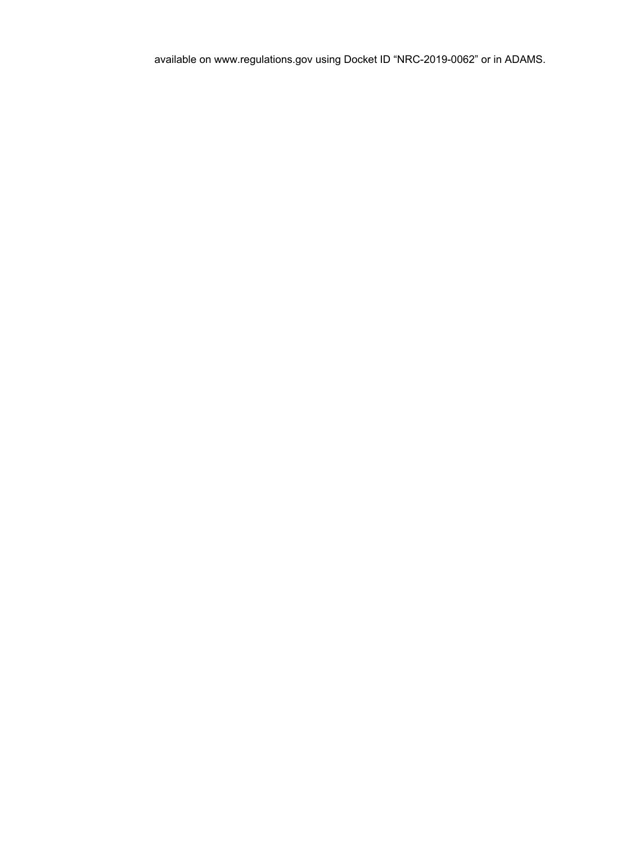available on www.regulations.gov using Docket ID "NRC-2019-0062" or in ADAMS.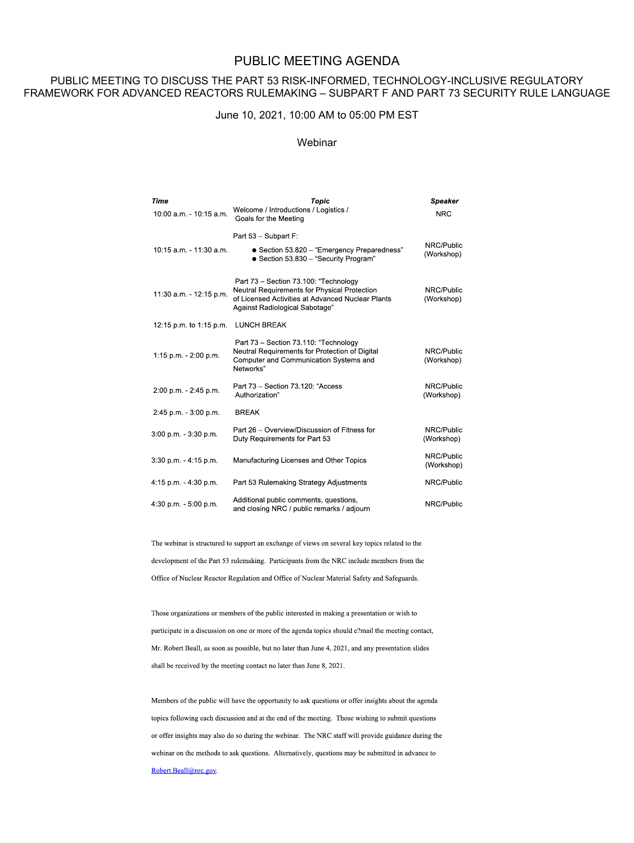# PUBLIC MEETING AGENDA

#### PUBLIC MEETING TO DISCUSS THE PART 53 RISK-INFORMED, TECHNOLOGY-INCLUSIVE REGULATORY FRAMEWORK FOR ADVANCED REACTORS RULEMAKING – SUBPART F AND PART 73 SECURITY RULE LANGUAGE

#### June 10, 2021, 10:00 AM to 05:00 PM EST

## Webinar

| Time<br>10:00 a.m. - 10:15 a.m. | Topic<br>Welcome / Introductions / Logistics /<br>Goals for the Meeting                                                                                                      | <b>Speaker</b><br><b>NRC</b> |
|---------------------------------|------------------------------------------------------------------------------------------------------------------------------------------------------------------------------|------------------------------|
| 10:15 a.m. - 11:30 a.m.         | Part 53 - Subpart F:<br>• Section 53.820 - "Emergency Preparedness"<br>• Section 53.830 - "Security Program"                                                                 | NRC/Public<br>(Workshop)     |
| 11:30 a.m. - 12:15 p.m.         | Part 73 - Section 73.100: "Technology<br>Neutral Requirements for Physical Protection<br>of Licensed Activities at Advanced Nuclear Plants<br>Against Radiological Sabotage" | NRC/Public<br>(Workshop)     |
| 12:15 p.m. to 1:15 p.m.         | <b>LUNCH BREAK</b>                                                                                                                                                           |                              |
| 1:15 p.m. - 2:00 p.m.           | Part 73 - Section 73.110: "Technology<br>Neutral Requirements for Protection of Digital<br>Computer and Communication Systems and<br>Networks"                               | NRC/Public<br>(Workshop)     |
| 2:00 p.m. - 2:45 p.m.           | Part 73 - Section 73.120: "Access<br>Authorization"                                                                                                                          | NRC/Public<br>(Workshop)     |
| 2:45 p.m. - 3:00 p.m.           | <b>BREAK</b>                                                                                                                                                                 |                              |
| $3:00$ p.m. $-3:30$ p.m.        | Part 26 - Overview/Discussion of Fitness for<br>Duty Requirements for Part 53                                                                                                | NRC/Public<br>(Workshop)     |
| 3:30 p.m. - 4:15 p.m.           | Manufacturing Licenses and Other Topics                                                                                                                                      | NRC/Public<br>(Workshop)     |
| 4:15 p.m. $-$ 4:30 p.m.         | Part 53 Rulemaking Strategy Adjustments                                                                                                                                      | NRC/Public                   |
| 4:30 p.m. $-5:00$ p.m.          | Additional public comments, questions,<br>and closing NRC / public remarks / adjourn                                                                                         | NRC/Public                   |

The webinar is structured to support an exchange of views on several key topics related to the development of the Part 53 rulemaking. Participants from the NRC include members from the Office of Nuclear Reactor Regulation and Office of Nuclear Material Safety and Safeguards.

Those organizations or members of the public interested in making a presentation or wish to participate in a discussion on one or more of the agenda topics should e?mail the meeting contact, Mr. Robert Beall, as soon as possible, but no later than June 4, 2021, and any presentation slides shall be received by the meeting contact no later than June 8, 2021.

Members of the public will have the opportunity to ask questions or offer insights about the agenda topics following each discussion and at the end of the meeting. Those wishing to submit questions or offer insights may also do so during the webinar. The NRC staff will provide guidance during the webinar on the methods to ask questions. Alternatively, questions may be submitted in advance to Robert.Beall@nrc.gov